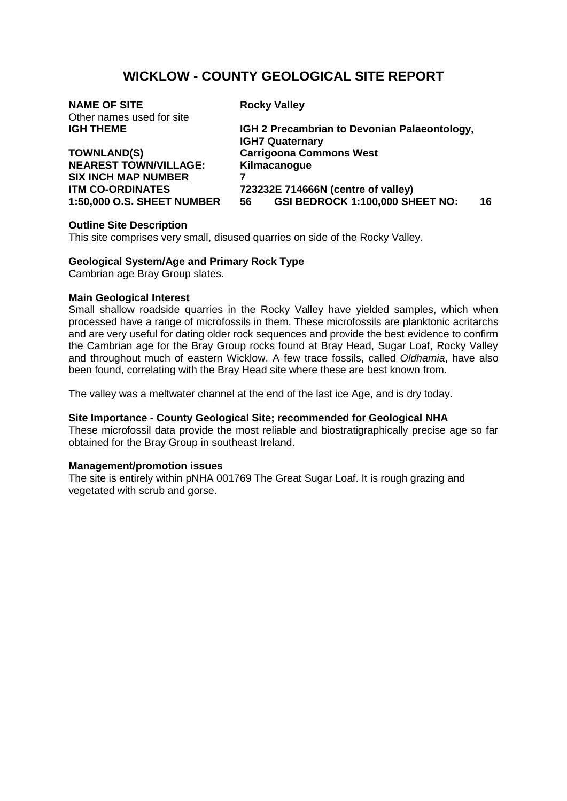# **WICKLOW - COUNTY GEOLOGICAL SITE REPORT**

| <b>NAME OF SITE</b>                                                          |                                    | <b>Rocky Valley</b>                                                    |    |  |
|------------------------------------------------------------------------------|------------------------------------|------------------------------------------------------------------------|----|--|
| Other names used for site                                                    |                                    |                                                                        |    |  |
| <b>IGH THEME</b>                                                             |                                    | IGH 2 Precambrian to Devonian Palaeontology,<br><b>IGH7 Quaternary</b> |    |  |
| <b>TOWNLAND(S)</b>                                                           | <b>Carrigoona Commons West</b>     |                                                                        |    |  |
| <b>NEAREST TOWN/VILLAGE:</b>                                                 | Kilmacanogue                       |                                                                        |    |  |
| <b>SIX INCH MAP NUMBER</b>                                                   |                                    |                                                                        |    |  |
| <b>ITM CO-ORDINATES</b>                                                      | 723232E 714666N (centre of valley) |                                                                        |    |  |
| <b>1:50,000 O.S. SHEET NUMBER</b>                                            | 56                                 | GSI BEDROCK 1:100,000 SHEET NO:                                        | 16 |  |
| $\mathbf{A}$ . The contract $\mathbf{A}$ is a set of the set of $\mathbf{A}$ |                                    |                                                                        |    |  |

## **Outline Site Description**

This site comprises very small, disused quarries on side of the Rocky Valley.

### **Geological System/Age and Primary Rock Type**

Cambrian age Bray Group slates.

#### **Main Geological Interest**

Small shallow roadside quarries in the Rocky Valley have yielded samples, which when processed have a range of microfossils in them. These microfossils are planktonic acritarchs and are very useful for dating older rock sequences and provide the best evidence to confirm the Cambrian age for the Bray Group rocks found at Bray Head, Sugar Loaf, Rocky Valley and throughout much of eastern Wicklow. A few trace fossils, called *Oldhamia*, have also been found, correlating with the Bray Head site where these are best known from.

The valley was a meltwater channel at the end of the last ice Age, and is dry today.

#### **Site Importance - County Geological Site; recommended for Geological NHA**

These microfossil data provide the most reliable and biostratigraphically precise age so far obtained for the Bray Group in southeast Ireland.

#### **Management/promotion issues**

The site is entirely within pNHA 001769 The Great Sugar Loaf. It is rough grazing and vegetated with scrub and gorse.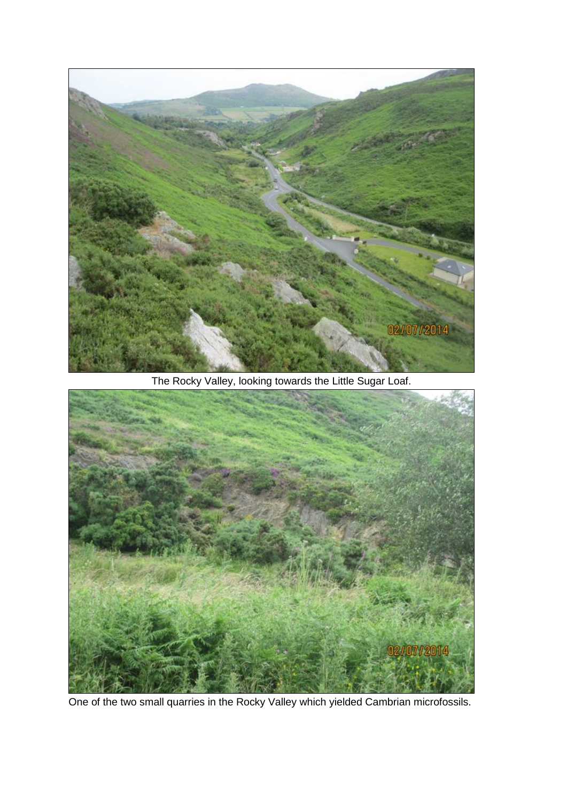

The Rocky Valley, looking towards the Little Sugar Loaf.



One of the two small quarries in the Rocky Valley which yielded Cambrian microfossils.